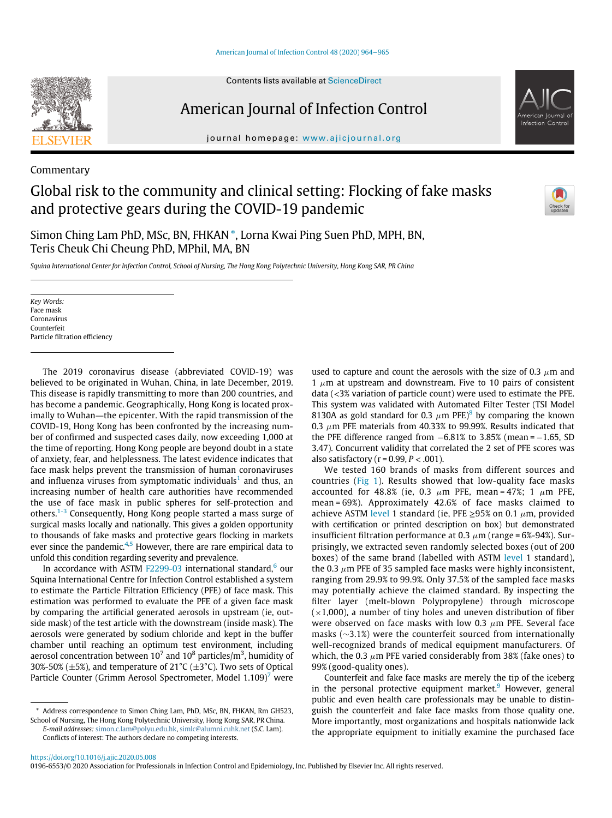# American Journal of Infection Control

journal homepage: [www.ajicjournal.org](http://www.ajicjournal.org)

Commentary

## Global risk to the community and clinical setting: Flocking of fake masks and protective gears during the COVID-19 pandemic



Simon Ching Lam PhD, MSc, BN, FHKAN [\\*](#page-0-0), Lorna Kwai Ping Suen PhD, MPH, BN, Teris Cheuk Chi Cheung PhD, MPhil, MA, BN

Squina International Center for Infection Control, School of Nursing, The Hong Kong Polytechnic University, Hong Kong SAR, PR China

Key Words: Face mask Coronavirus Counterfeit Particle filtration efficiency

The 2019 coronavirus disease (abbreviated COVID-19) was believed to be originated in Wuhan, China, in late December, 2019. This disease is rapidly transmitting to more than 200 countries, and has become a pandemic. Geographically, Hong Kong is located proximally to Wuhan—the epicenter. With the rapid transmission of the COVID-19, Hong Kong has been confronted by the increasing number of confirmed and suspected cases daily, now exceeding 1,000 at the time of reporting. Hong Kong people are beyond doubt in a state of anxiety, fear, and helplessness. The latest evidence indicates that face mask helps prevent the transmission of human coronaviruses and influenza viruses from symptomatic individuals<sup>[1](#page-1-0)</sup> and thus, an increasing number of health care authorities have recommended the use of face mask in public spheres for self-protection and others.[1-3](#page-1-0) Consequently, Hong Kong people started a mass surge of surgical masks locally and nationally. This gives a golden opportunity to thousands of fake masks and protective gears flocking in markets ever since the pandemic. $4,5$  $4,5$  However, there are rare empirical data to unfold this condition regarding severity and prevalence.

In accordance with ASTM  $F2299-03$  international standard,<sup>[6](#page-1-3)</sup> our Squina International Centre for Infection Control established a system to estimate the Particle Filtration Efficiency (PFE) of face mask. This estimation was performed to evaluate the PFE of a given face mask by comparing the artificial generated aerosols in upstream (ie, outside mask) of the test article with the downstream (inside mask). The aerosols were generated by sodium chloride and kept in the buffer chamber until reaching an optimum test environment, including aerosol concentration between 10<sup>7</sup> and 10<sup>8</sup> particles/m<sup>3</sup>, humidity of 30%-50% ( $\pm$ 5%), and temperature of 21°C ( $\pm$ 3°C). Two sets of Optical Particle Counter (Grimm Aerosol Spectrometer, Model 1.109)<sup>[7](#page-1-4)</sup> were

<span id="page-0-0"></span>\* Address correspondence to Simon Ching Lam, PhD, MSc, BN, FHKAN, Rm GH523, School of Nursing, The Hong Kong Polytechnic University, Hong Kong SAR, PR China. E-mail addresses: [simon.c.lam@polyu.edu.hk,](mailto:simon.c.lam@polyu.edu.hk) [simlc@alumni.cuhk.net](mailto:simlc@alumni.cuhk.net) (S.C. Lam).

Conflicts of interest: The authors declare no competing interests.

used to capture and count the aerosols with the size of 0.3  $\mu$ m and 1  $\mu$ m at upstream and downstream. Five to 10 pairs of consistent data (<3% variation of particle count) were used to estimate the PFE. This system was validated with Automated Filter Tester (TSI Model [8](#page-1-5)130A as gold standard for 0.3  $\mu$ m PFE)<sup>8</sup> by comparing the known 0.3  $\mu$ m PFE materials from 40.33% to 99.99%. Results indicated that the PFE difference ranged from  $-6.81\%$  to 3.85% (mean =  $-1.65$ , SD 3.47). Concurrent validity that correlated the 2 set of PFE scores was also satisfactory ( $r = 0.99$ ,  $P < .001$ ).

We tested 160 brands of masks from different sources and countries [\(Fig 1\)](#page-1-6). Results showed that low-quality face masks accounted for 48.8% (ie, 0.3  $\mu$ m PFE, mean = 47%; 1  $\mu$ m PFE, mean = 69%). Approximately 42.6% of face masks claimed to achieve ASTM [level](astm:level) 1 standard (ie, PFE  $\geq$ 95% on 0.1  $\mu$ m, provided with certification or printed description on box) but demonstrated insufficient filtration performance at 0.3  $\mu$ m (range = 6%-94%). Surprisingly, we extracted seven randomly selected boxes (out of 200 boxes) of the same brand (labelled with ASTM [level](astm:level) 1 standard), the 0.3  $\mu$ m PFE of 35 sampled face masks were highly inconsistent, ranging from 29.9% to 99.9%. Only 37.5% of the sampled face masks may potentially achieve the claimed standard. By inspecting the filter layer (melt-blown Polypropylene) through microscope  $(x1,000)$ , a number of tiny holes and uneven distribution of fiber were observed on face masks with low 0.3  $\mu$ m PFE. Several face masks  $(\sim$ 3.1%) were the counterfeit sourced from internationally well-recognized brands of medical equipment manufacturers. Of which, the 0.3  $\mu$ m PFE varied considerably from 38% (fake ones) to 99% (good-quality ones).

Counterfeit and fake face masks are merely the tip of the iceberg in the personal protective equipment market.<sup>[9](#page-1-7)</sup> However, general public and even health care professionals may be unable to distinguish the counterfeit and fake face masks from those quality one. More importantly, most organizations and hospitals nationwide lack the appropriate equipment to initially examine the purchased face